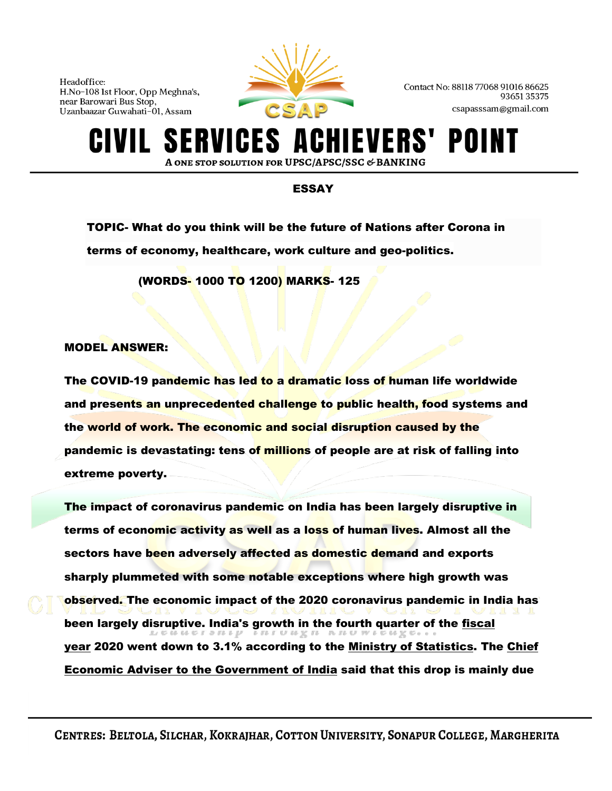

Contact No: 88118 77068 91016 86625 9365135375 csapasssam@gmail.com

## **ERVICES A** IEVERS' POI A ONE STOP SOLUTION FOR UPSC/APSC/SSC & BANKING

## ESSAY

TOPIC- What do you think will be the future of Nations after Corona in terms of economy, healthcare, work culture and geo-politics.

(WORDS- 1000 TO 1200) MARKS- 125

## MODEL ANSWER:

The COVID-19 pandemic has led to a dramatic loss of human life worldwide and presents an unprecedented challenge to public health, food systems and the world of work. The economic and social disruption caused by the pandemic is devastating: tens of millions of people are at risk of falling into extreme poverty.

The impact of coronavirus pandemic on India has been largely disruptive in terms of economic activity as well as a loss of human lives. Almost all the sectors have been adversely affected as domestic demand and exports sharply plummeted with some notable exceptions where high growth was observed. The economic impact of the 2020 coronavirus pandemic in India has been largely disruptive. India's growth in the fourth quarter of the fiscal<br>
LEGGING TO THE FITUBE IN TURTERE. [year](https://en.wikipedia.org/wiki/Fiscal_year) 2020 went down to 3.1% according to the [Ministry of Statistics.](https://en.wikipedia.org/wiki/Ministry_of_Statistics_and_Programme_Implementation) The [Chief](https://en.wikipedia.org/wiki/Chief_Economic_Advisor_to_the_Government_of_India)  [Economic Adviser to the Government of India](https://en.wikipedia.org/wiki/Chief_Economic_Advisor_to_the_Government_of_India) said that this drop is mainly due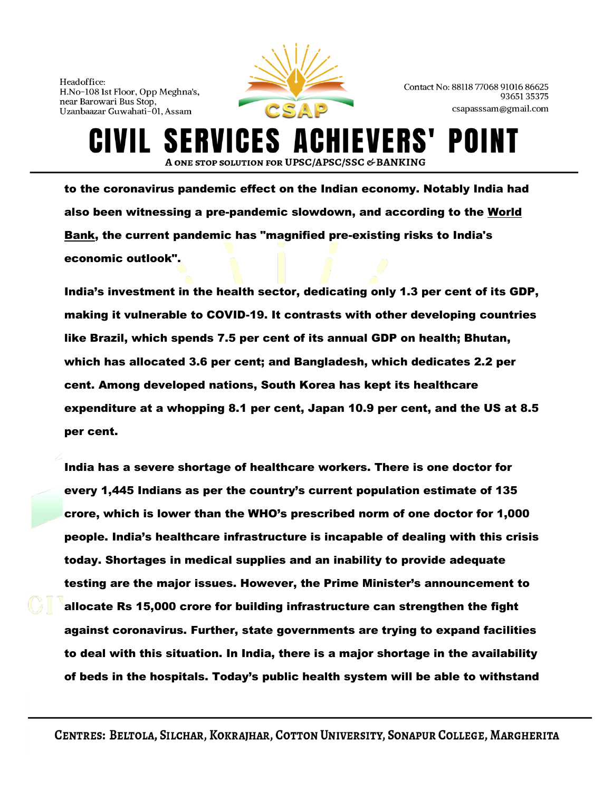

ERVICES A

Contact No: 88118 77068 91016 86625 9365135375 csapasssam@gmail.com

**IEVERS'** 

to the coronavirus pandemic effect on the Indian economy. Notably India had also been witnessing a pre-pandemic slowdown, and according to the [World](https://en.wikipedia.org/wiki/World_Bank)  [Bank,](https://en.wikipedia.org/wiki/World_Bank) the current pandemic has "magnified pre-existing risks to India's economic outlook".

A ONE STOP SOLUTION FOR UPSC/APSC/SSC & BANKING

India's investment in the health sector, dedicating only 1.3 per cent of its GDP, making it vulnerable to COVID-19. It contrasts with other developing countries like Brazil, which spends 7.5 per cent of its annual GDP on health; Bhutan, which has allocated 3.6 per cent; and Bangladesh, which dedicates 2.2 per cent. Among developed nations, South Korea has kept its healthcare expenditure at a whopping 8.1 per cent, Japan 10.9 per cent, and the US at 8.5 per cent.

India has a severe shortage of healthcare workers. There is one doctor for every 1,445 Indians as per the country's current population estimate of 135 crore, which is lower than the WHO's prescribed norm of one doctor for 1,000 people. India's healthcare infrastructure is incapable of dealing with this crisis today. Shortages in medical supplies and an inability to provide adequate testing are the major issues. However, the Prime Minister's announcement to allocate Rs 15,000 crore for building infrastructure can strengthen the fight against coronavirus. Further, state governments are trying to expand facilities to deal with this situation. In India, there is a major shortage in the availability of beds in the hospitals. Today's public health system will be able to withstand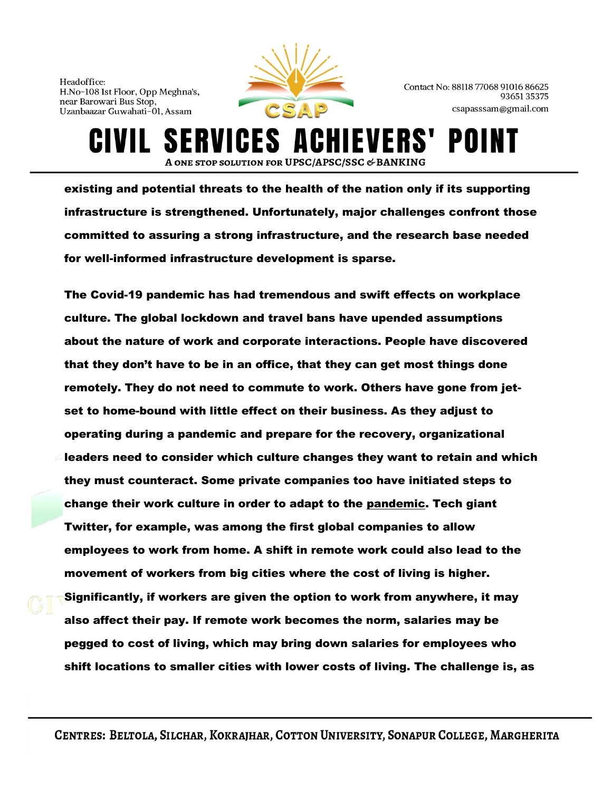**S** 



Contact No: 88118 77068 91016 86625 9365135375 csapasssam@gmail.com

HIEVERS'

A ONE STOP SOLUTION FOR UPSC/APSC/SSC & BANKING existing and potential threats to the health of the nation only if its supporting infrastructure is strengthened. Unfortunately, major challenges confront those committed to assuring a strong infrastructure, and the research base needed

for well-informed infrastructure development is sparse.

ERVICES A

The Covid-19 pandemic has had tremendous and swift effects on workplace culture. The global lockdown and travel bans have upended assumptions about the nature of work and corporate interactions. People have discovered that they don't have to be in an office, that they can get most things done remotely. They do not need to commute to work. Others have gone from jetset to home-bound with little effect on their business. As they adjust to operating during a pandemic and prepare for the recovery, organizational leaders need to consider which culture changes they want to retain and which they must counteract. Some private companies too have initiated steps to change their work culture in order to adapt to the [pandemic.](https://indianexpress.com/article/explained/pandemic-explained-who-novel-coronavirus-covid19-what-is-a-pandemic-6309727/) Tech giant Twitter, for example, was among the first global companies to allow employees to work from home. A shift in remote work could also lead to the movement of workers from big cities where the cost of living is higher. Significantly, if workers are given the option to work from anywhere, it may also affect their pay. If remote work becomes the norm, salaries may be pegged to cost of living, which may bring down salaries for employees who shift locations to smaller cities with lower costs of living. The challenge is, as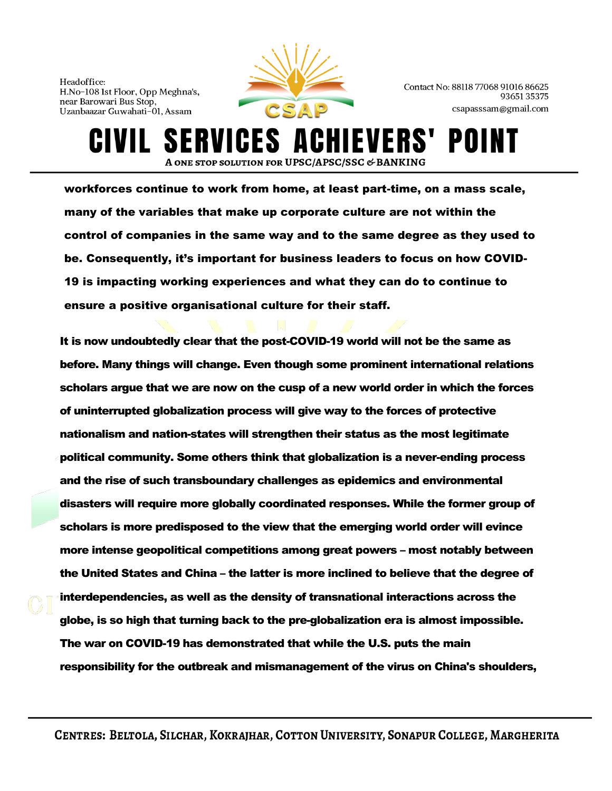

Contact No: 88118 77068 91016 86625 9365135375 csapasssam@gmail.com

**CIVIL SERVICES ACHIEVERS' POII** A ONE STOP SOLUTION FOR UPSC/APSC/SSC & BANKING workforces continue to work from home, at least part-time, on a mass scale, many of the variables that make up corporate culture are not within the control of companies in the same way and to the same degree as they used to

be. Consequently, it's important for business leaders to focus on how COVID-19 is impacting working experiences and what they can do to continue to ensure a positive organisational culture for their staff.

It is now undoubtedly clear that the post-COVID-19 world will not be the same as before. Many things will change. Even though some prominent international relations scholars argue that we are now on the cusp of a new world order in which the forces of uninterrupted globalization process will give way to the forces of protective nationalism and nation-states will strengthen their status as the most legitimate political community. Some others think that globalization is a never-ending process and the rise of such transboundary challenges as epidemics and environmental disasters will require more globally coordinated responses. While the former group of scholars is more predisposed to the view that the emerging world order will evince more intense geopolitical competitions among great powers – most notably between the United States and China – the latter is more inclined to believe that the degree of interdependencies, as well as the density of transnational interactions across the globe, is so high that turning back to the pre-globalization era is almost impossible. The war on COVID-19 has demonstrated that while the U.S. puts the main responsibility for the outbreak and mismanagement of the virus on China's shoulders,

CENTRES: BELTOLA, SILCHAR, KOKRAJHAR, COTTON UNIVERSITY, SONAPUR COLLEGE, MARGHERITA